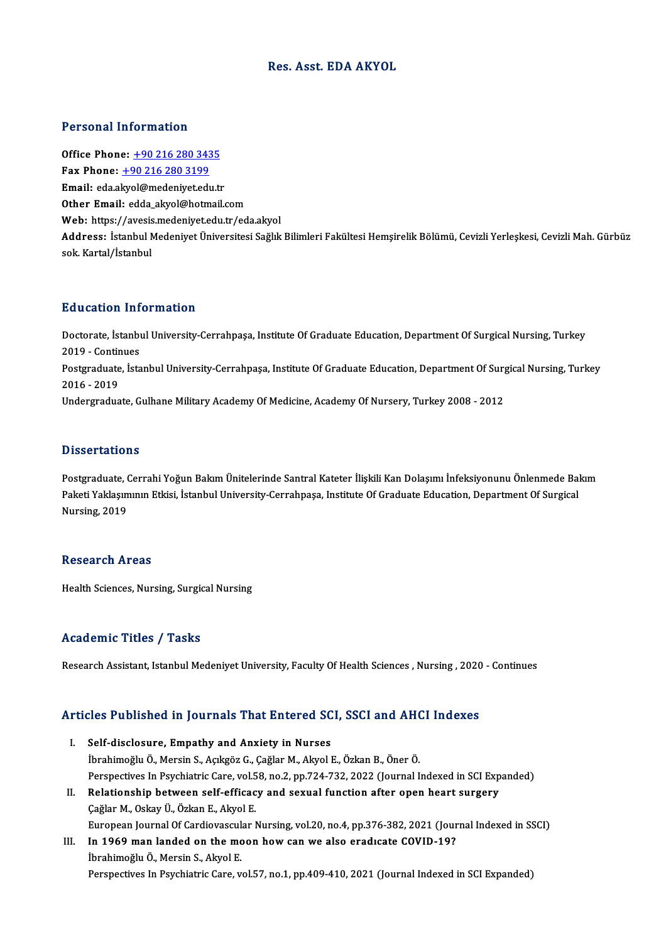### Res. Asst. EDA AKYOL

### Personal Information

**Personal Information<br>Office Phone: +90 216 280 3435<br>Fax Phone: +90 216 280 2100** Fax Phone: <u>+90 216 280 343</u><br>Fax Phone: <u>+90 216 280 3199</u><br>Fmail: eda algual@madeniyet.edu Office Phone: <u>+90 216 280 3435</u><br>Fax Phone: <u>+90 216 280 3199</u><br>Email: eda.a[kyol@medeniyet.ed](tel:+90 216 280 3199)[u.t](tel:+90 216 280 3435)r<br>Other Email: edda.akyol@hetmail Fax Phone: <u>+90 216 280 3199</u><br>Email: eda.akyol@medeniyet.edu.tr<br>Other Email: edda akyol@hotmail.com Web: https://avesis.medeniyet.edu.tr/eda.akyol Other Email: edda\_akyol@hotmail.com<br>Web: https://avesis.medeniyet.edu.tr/eda.akyol<br>Address: İstanbul Medeniyet Üniversitesi Sağlık Bilimleri Fakültesi Hemşirelik Bölümü, Cevizli Yerleşkesi, Cevizli Mah. Gürbüz Web: https://avesis<br>Address: İstanbul M<br>sok. Kartal/İstanbul

### Education Information

**Education Information**<br>Doctorate, İstanbul University-Cerrahpaşa, Institute Of Graduate Education, Department Of Surgical Nursing, Turkey<br>2019 - Continues Eucletten III<br>Doctorate, İstanbı<br>2019 - Continues<br>Postareduate, İsta Doctorate, İstanbul University-Cerrahpaşa, Institute Of Graduate Education, Department Of Surgical Nursing, Turkey<br>2019 - Continues<br>Postgraduate, İstanbul University-Cerrahpaşa, Institute Of Graduate Education, Department 2019 - Contin<br>Postgraduate<br>2016 - 2019<br>Undergradue Postgraduate, İstanbul University-Cerrahpaşa, Institute Of Graduate Education, Department Of Surg<br>2016 - 2019<br>Undergraduate, Gulhane Military Academy Of Medicine, Academy Of Nursery, Turkey 2008 - 2012 Undergraduate, Gulhane Military Academy Of Medicine, Academy Of Nursery, Turkey 2008 - 2012<br>Dissertations

Postgraduate, Cerrahi Yoğun Bakım Ünitelerinde Santral Kateter İlişkili Kan Dolaşımı İnfeksiyonunu Önlenmede Bakım D'issest catre no<br>Postgraduate, Cerrahi Yoğun Bakım Ünitelerinde Santral Kateter İlişkili Kan Dolaşımı İnfeksiyonunu Önlenmede Bal<br>Paketi Yaklaşımının Etkisi, İstanbul University-Cerrahpaşa, Institute Of Graduate Education Postgraduate, (<br>Paketi Yaklaşım<br>Nursing, 2019 Nursing, 2019<br>Research Areas

Health Sciences, Nursing, Surgical Nursing

### Academic Titles / Tasks

Research Assistant, Istanbul Medeniyet University, Faculty Of Health Sciences , Nursing , 2020 - Continues

# Research Assistant, istanbul medeniyet oniversity, ractity of Health Sciences , Nursing , 2020<br>Articles Published in Journals That Entered SCI, SSCI and AHCI Indexes

- rticles Published in Journals That Entered SC<br>I. Self-disclosure, Empathy and Anxiety in Nurses<br>Throbimoğlu Ö. Morsin S. Asksöz C. Coğlar M. Akral I I. Self-disclosure, Empathy and Anxiety in Nurses<br>İbrahimoğlu Ö., Mersin S., Açıkgöz G., Çağlar M., Akyol E., Özkan B., Öner Ö. Self-disclosure, Empathy and Anxiety in Nurses<br>İbrahimoğlu Ö., Mersin S., Açıkgöz G., Çağlar M., Akyol E., Özkan B., Öner Ö.<br>Perspectives In Psychiatric Care, vol.58, no.2, pp.724-732, 2022 (Journal Indexed in SCI Expanded Ibrahimoğlu Ö., Mersin S., Açıkgöz G., Çağlar M., Akyol E., Özkan B., Öner Ö.<br>Perspectives In Psychiatric Care, vol.58, no.2, pp.724-732, 2022 (Journal Indexed in SCI Exp<br>II. Relationship between self-efficacy and sexual f Perspectives In Psychiatric Care, vol.5<br>Relationship between self-efficac<br>Çağlar M., Oskay Ü., Özkan E., Akyol E.<br>European Journal Of Cardioveaular I Relationship between self-efficacy and sexual function after open heart surgery<br>Çağlar M., Oskay Ü., Özkan E., Akyol E.<br>European Journal Of Cardiovascular Nursing, vol.20, no.4, pp.376-382, 2021 (Journal Indexed in SSCI)<br>I Gağlar M., Oskay Ü., Özkan E., Akyol E.<br>European Journal Of Cardiovascular Nursing, vol.20, no.4, pp.376-382, 2021 (Jour<br>III. In 1969 man landed on the moon how can we also eradıcate COVID-19?<br>Ibrahimağlu Ö. Marsin S. Alva
- European Journal Of Cardiovascul<br>In 1969 man landed on the mo<br>İbrahimoğlu Ö., Mersin S., Akyol E.<br>Perspectives In Pevehistris Core. v III. In 1969 man landed on the moon how can we also eradicate COVID-19?<br>İbrahimoğlu Ö., Mersin S., Akyol E.<br>Perspectives In Psychiatric Care, vol.57, no.1, pp.409-410, 2021 (Journal Indexed in SCI Expanded)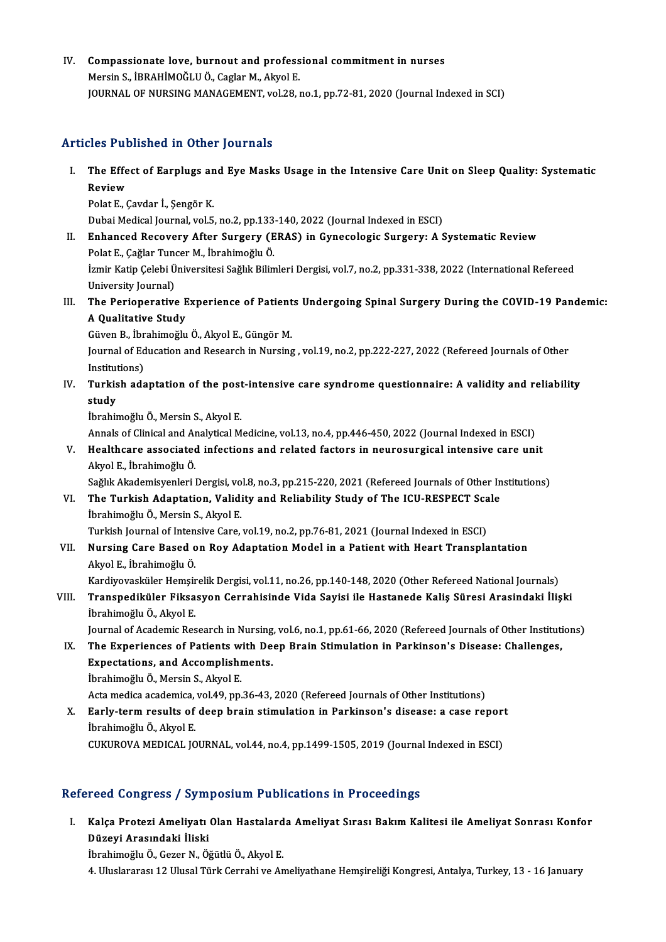IV. Compassionate love, burnout and professional commitment in nurses Compassionate love, burnout and profess<br>Mersin S., İBRAHİMOĞLU Ö., Caglar M., Akyol E.<br>JOUPNAL OF NURSINC MANACEMENT vol 28 Mersin S., İBRAHİMOĞLU Ö., Caglar M., Akyol E.<br>JOURNAL OF NURSING MANAGEMENT, vol.28, no.1, pp.72-81, 2020 (Journal Indexed in SCI)

## Articles Published in Other Journals

- rticles Published in Other Journals<br>I. The Effect of Earplugs and Eye Masks Usage in the Intensive Care Unit on Sleep Quality: Systematic<br>Review The Effe<br>The Effe<br>Review The Effect of Earplugs an<br>Review<br>Polat E., Çavdar İ., Şengör K.<br>Dubai Medisal Jeurnal val E Review<br>Polat E., Çavdar İ., Şengör K.<br>Dubai Medical Journal, vol.5, no.2, pp.133-140, 2022 (Journal Indexed in ESCI)
	-

- Polat E., Çavdar İ., Şengör K.<br>Dubai Medical Journal, vol.5, no.2, pp.133-140, 2022 (Journal Indexed in ESCI)<br>II. Enhanced Recovery After Surgery (ERAS) in Gynecologic Surgery: A Systematic Review<br>Polat E. Coğlar Tunger M. Dubai Medical Journal, vol.5, no.2, pp.133<br>**Enhanced Recovery After Surgery (E**<br>Polat E., Çağlar Tuncer M., İbrahimoğlu Ö.<br>İsmir Katin Çelebi Üniversitesi Soğlul Bilin İzmir Katip Çelebi Üniversitesi Sağlık Bilimleri Dergisi, vol.7, no.2, pp.331-338, 2022 (International Refereed<br>University Journal) Polat E., Çağlar Tuncer M., İbrahimoğlu Ö.
- Izmir Katip Çelebi Üniversitesi Sağlık Bilimleri Dergisi, vol.7, no.2, pp.331-338, 2022 (International Refereed<br>University Journal)<br>III. The Perioperative Experience of Patients Undergoing Spinal Surgery During the COVID-1 University Journal)<br>The Perioperative E<br>A Qualitative Study<br>Cüven B. İbrahimağlu

A Qualitative Study<br>Güven B., İbrahimoğlu Ö., Akyol E., Güngör M.

A Qualitative Study<br>Güven B., İbrahimoğlu Ö., Akyol E., Güngör M.<br>Journal of Education and Research in Nursing , vol.19, no.2, pp.222-227, 2022 (Refereed Journals of Other<br>Institutions) Güven B., İbr<br>Journal of Ed<br>Institutions)<br>Turkish ada Journal of Education and Research in Nursing , vol.19, no.2, pp.222-227, 2022 (Refereed Journals of Other<br>Institutions)<br>IV. Turkish adaptation of the post-intensive care syndrome questionnaire: A validity and reliability<br>c

Institut<br>Turkis<br>study<br><sup>İbrobir</sup> Turkish adaptation of the post<br>study<br>İbrahimoğlu Ö., Mersin S., Akyol E.<br>Annak of Clinical and Analytical M <mark>study</mark><br>İbrahimoğlu Ö., Mersin S., Akyol E.<br>Annals of Clinical and Analytical Medicine, vol.13, no.4, pp.446-450, 2022 (Journal Indexed in ESCI)<br>Healthsare associated infections and related fectors in neurosurgical intensi

Ibrahimoğlu Ö., Mersin S., Akyol E.<br>Annals of Clinical and Analytical Medicine, vol.13, no.4, pp.446-450, 2022 (Journal Indexed in ESCI)<br>V. Healthcare associated infections and related factors in neurosurgical intensive ca Annals of Clinical and Ar<br>Healthcare associated<br>Akyol E., İbrahimoğlu Ö.<br>Sağlık Akademisyonleri Healthcare associated infections and related factors in neurosurgical intensive care unit<br>Akyol E., İbrahimoğlu Ö.<br>Sağlık Akademisyenleri Dergisi, vol.8, no.3, pp.215-220, 2021 (Refereed Journals of Other Institutions)<br>The

Akyol E., İbrahimoğlu Ö.<br>Sağlık Akademisyenleri Dergisi, vol.8, no.3, pp.215-220, 2021 (Refereed Journals of Other In<br>VI. The Turkish Adaptation, Validity and Reliability Study of The ICU-RESPECT Scale<br>İhrahimoğlu Ö. Mersi Sağlık Akademisyenleri Dergisi, vo<br>**The Turkish Adaptation, Valid**i<br>İbrahimoğlu Ö., Mersin S., Akyol E.<br>Turkish Jaurnal of Intensive Care The Turkish Adaptation, Validity and Reliability Study of The ICU-RESPECT Sca<br>İbrahimoğlu Ö., Mersin S., Akyol E.<br>Turkish Journal of Intensive Care, vol.19, no.2, pp.76-81, 2021 (Journal Indexed in ESCI)<br>Nursing Care Based

İbrahimoğlu Ö., Mersin S., Akyol E.<br>Turkish Journal of Intensive Care, vol.19, no.2, pp.76-81, 2021 (Journal Indexed in ESCI)<br>VII. Nursing Care Based on Roy Adaptation Model in a Patient with Heart Transplantation<br>Akyol E. Turkish Journal of Inten<br>**Nursing Care Based o**<br>Akyol E., İbrahimoğlu Ö.<br>Kandivavaskillar Hamai

Kardiyovasküler Hemşirelik Dergisi, vol.11, no.26, pp.140-148, 2020 (Other Refereed National Journals)

## Akyol E., İbrahimoğlu Ö.<br>Kardiyovasküler Hemşirelik Dergisi, vol.11, no.26, pp.140-148, 2020 (Other Refereed National Journals)<br>VIII. Transpediküler Fiksasyon Cerrahisinde Vida Sayisi ile Hastanede Kaliş Süresi Arasind Kardiyovasküler Hemşir<br><mark>Transpediküler Fiksa</mark><br>İbrahimoğlu Ö., Akyol E.<br>Journal of Asadamia Bas Transpediküler Fiksasyon Cerrahisinde Vida Sayisi ile Hastanede Kaliş Süresi Arasindaki İlişki<br>İbrahimoğlu Ö., Akyol E.<br>Journal of Academic Research in Nursing, vol.6, no.1, pp.61-66, 2020 (Refereed Journals of Other Insti

Ibrahimoğlu Ö., Akyol E.<br>Journal of Academic Research in Nursing, vol.6, no.1, pp.61-66, 2020 (Refereed Journals of Other Instituti<br>IX. The Experiences of Patients with Deep Brain Stimulation in Parkinson's Disease: Challe Journal of Academic Research in Nursing<br>The Experiences of Patients with De<br>Expectations, and Accomplishments.<br>Ibrobimoğlu Ö. Mergin S. Algrel F. IX. The Experiences of Patients with Deep Brain Stimulation in Parkinson's Disease: Challenges,<br>Expectations, and Accomplishments.<br>İbrahimoğlu Ö., Mersin S., Akyol E.

Acta medica academica, vol.49, pp.36-43, 2020 (Refereed Journals of Other Institutions)

Ibrahimoğlu Ö., Mersin S., Akyol E.<br>Acta medica academica, vol.49, pp.36-43, 2020 (Refereed Journals of Other Institutions)<br>X. Early-term results of deep brain stimulation in Parkinson's disease: a case report<br>Ibrahimoğlu Acta medica academica,<br>**Early-term results of<br>İbrahimoğlu Ö., Akyol E.**<br>CUKUROVA MEDICAL IC Early-term results of deep brain stimulation in Parkinson's disease: a case report<br>İbrahimoğlu Ö., Akyol E.<br>CUKUROVA MEDICAL JOURNAL, vol.44, no.4, pp.1499-1505, 2019 (Journal Indexed in ESCI)

# CUKUROVA MEDICAL JOURNAL, vol.44, no.4, pp.1499-1505, 2019 (Journal Indexed in ESCI)<br>Refereed Congress / Symposium Publications in Proceedings

efereed Congress / Symposium Publications in Proceedings<br>I. Kalça Protezi Ameliyatı Olan Hastalarda Ameliyat Sırası Bakım Kalitesi ile Ameliyat Sonrası Konfor<br>Dürevi Arasındaki İliaki roca döngroca 7 byn.<br>Kalça Protezi Ameliyatı<br>Düzeyi Arasındaki İliski Düzeyi Arasındaki İliski<br>İbrahimoğlu Ö., Gezer N., Öğütlü Ö., Akyol E.

4. Uluslararası 12 Ulusal Türk Cerrahi ve Ameliyathane Hemşireliği Kongresi, Antalya, Turkey, 13 - 16 January